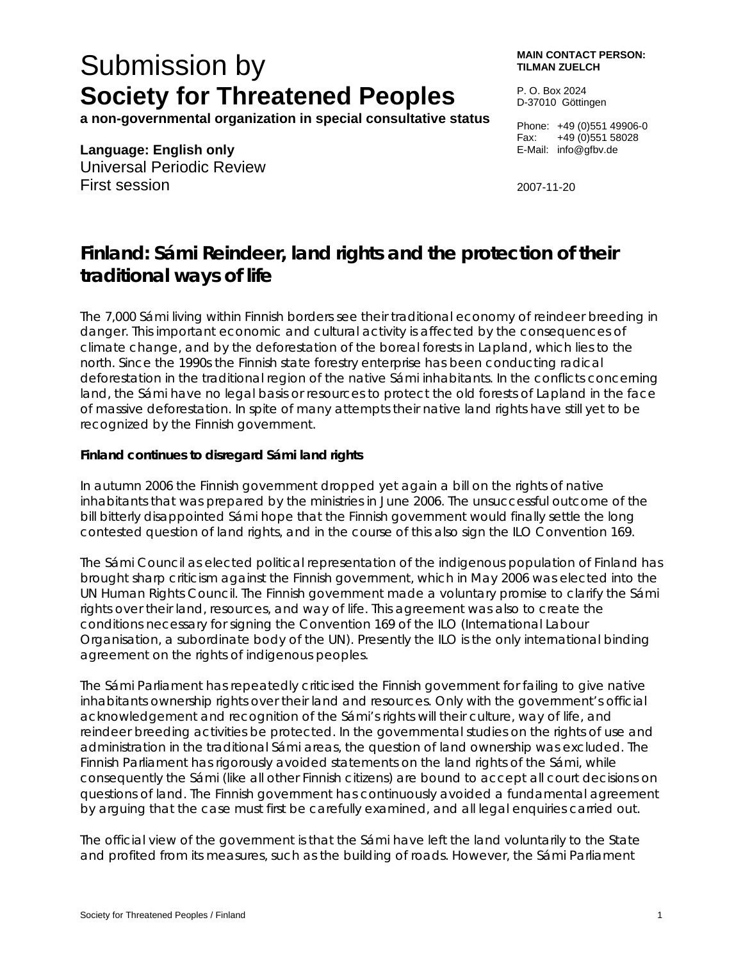# Submission by **Society for Threatened Peoples**

**a non-governmental organization in special consultative status** 

**Language: English only**  Universal Periodic Review First session

**MAIN CONTACT PERSON: TILMAN ZUELCH** 

P. O. Box 2024 D-37010 Göttingen

Phone: +49 (0)551 49906-0 Fax: +49 (0)551 58028 E-Mail: info@gfbv.de

2007-11-20

# **Finland: Sámi Reindeer, land rights and the protection of their traditional ways of life**

The 7,000 Sámi living within Finnish borders see their traditional economy of reindeer breeding in danger. This important economic and cultural activity is affected by the consequences of climate change, and by the deforestation of the boreal forests in Lapland, which lies to the north. Since the 1990s the Finnish state forestry enterprise has been conducting radical deforestation in the traditional region of the native Sámi inhabitants. In the conflicts concerning land, the Sámi have no legal basis or resources to protect the old forests of Lapland in the face of massive deforestation. In spite of many attempts their native land rights have still yet to be recognized by the Finnish government.

# **Finland continues to disregard Sámi land rights**

In autumn 2006 the Finnish government dropped yet again a bill on the rights of native inhabitants that was prepared by the ministries in June 2006. The unsuccessful outcome of the bill bitterly disappointed Sámi hope that the Finnish government would finally settle the long contested question of land rights, and in the course of this also sign the ILO Convention 169.

The Sámi Council as elected political representation of the indigenous population of Finland has brought sharp criticism against the Finnish government, which in May 2006 was elected into the UN Human Rights Council. The Finnish government made a voluntary promise to clarify the Sámi rights over their land, resources, and way of life. This agreement was also to create the conditions necessary for signing the Convention 169 of the ILO (International Labour Organisation, a subordinate body of the UN). Presently the ILO is the only international binding agreement on the rights of indigenous peoples.

The Sámi Parliament has repeatedly criticised the Finnish government for failing to give native inhabitants ownership rights over their land and resources. Only with the government's official acknowledgement and recognition of the Sámi's rights will their culture, way of life, and reindeer breeding activities be protected. In the governmental studies on the rights of use and administration in the traditional Sámi areas, the question of land ownership was excluded. The Finnish Parliament has rigorously avoided statements on the land rights of the Sámi, while consequently the Sámi (like all other Finnish citizens) are bound to accept all court decisions on questions of land. The Finnish government has continuously avoided a fundamental agreement by arguing that the case must first be carefully examined, and all legal enquiries carried out.

The official view of the government is that the Sámi have left the land voluntarily to the State and profited from its measures, such as the building of roads. However, the Sámi Parliament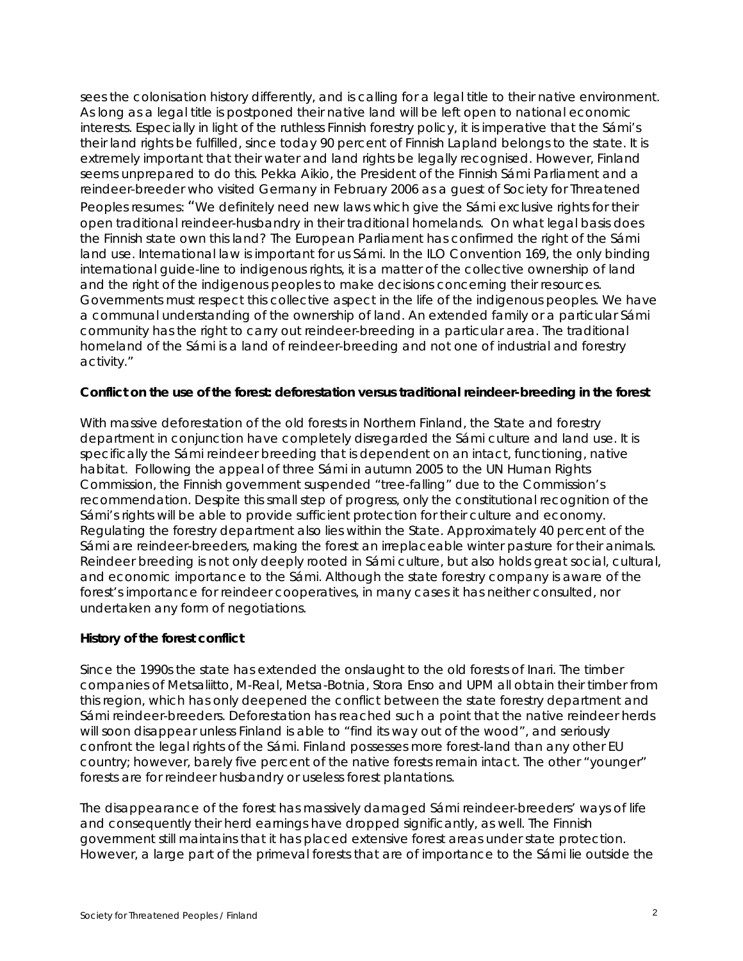sees the colonisation history differently, and is calling for a legal title to their native environment. As long as a legal title is postponed their native land will be left open to national economic interests. Especially in light of the ruthless Finnish forestry policy, it is imperative that the Sámi's their land rights be fulfilled, since today 90 percent of Finnish Lapland belongs to the state. It is extremely important that their water and land rights be legally recognised. However, Finland seems unprepared to do this. Pekka Aikio, the President of the Finnish Sámi Parliament and a reindeer-breeder who visited Germany in February 2006 as a guest of Society for Threatened Peoples resumes: "We definitely need new laws which give the Sámi exclusive rights for their open traditional reindeer-husbandry in their traditional homelands. On what legal basis does the Finnish state own this land? The European Parliament has confirmed the right of the Sámi land use. International law is important for us Sámi. In the ILO Convention 169, the only binding international guide-line to indigenous rights, it is a matter of the collective ownership of land and the right of the indigenous peoples to make decisions concerning their resources. Governments must respect this collective aspect in the life of the indigenous peoples. We have a communal understanding of the ownership of land. An extended family or a particular Sámi community has the right to carry out reindeer-breeding in a particular area. The traditional homeland of the Sámi is a land of reindeer-breeding and not one of industrial and forestry activity."

#### **Conflict on the use of the forest: deforestation versus traditional reindeer-breeding in the forest**

With massive deforestation of the old forests in Northern Finland, the State and forestry department in conjunction have completely disregarded the Sámi culture and land use. It is specifically the Sámi reindeer breeding that is dependent on an intact, functioning, native habitat. Following the appeal of three Sámi in autumn 2005 to the UN Human Rights Commission, the Finnish government suspended "tree-falling" due to the Commission's recommendation. Despite this small step of progress, only the constitutional recognition of the Sámi's rights will be able to provide sufficient protection for their culture and economy. Regulating the forestry department also lies within the State. Approximately 40 percent of the Sámi are reindeer-breeders, making the forest an irreplaceable winter pasture for their animals. Reindeer breeding is not only deeply rooted in Sámi culture, but also holds great social, cultural, and economic importance to the Sámi. Although the state forestry company is aware of the forest's importance for reindeer cooperatives, in many cases it has neither consulted, nor undertaken any form of negotiations.

# **History of the forest conflict**

Since the 1990s the state has extended the onslaught to the old forests of Inari. The timber companies of Metsaliitto, M-Real, Metsa-Botnia, Stora Enso and UPM all obtain their timber from this region, which has only deepened the conflict between the state forestry department and Sámi reindeer-breeders. Deforestation has reached such a point that the native reindeer herds will soon disappear unless Finland is able to "find its way out of the wood", and seriously confront the legal rights of the Sámi. Finland possesses more forest-land than any other EU country; however, barely five percent of the native forests remain intact. The other "younger" forests are for reindeer husbandry or useless forest plantations.

The disappearance of the forest has massively damaged Sámi reindeer-breeders' ways of life and consequently their herd earnings have dropped significantly, as well. The Finnish government still maintains that it has placed extensive forest areas under state protection. However, a large part of the primeval forests that are of importance to the Sámi lie outside the